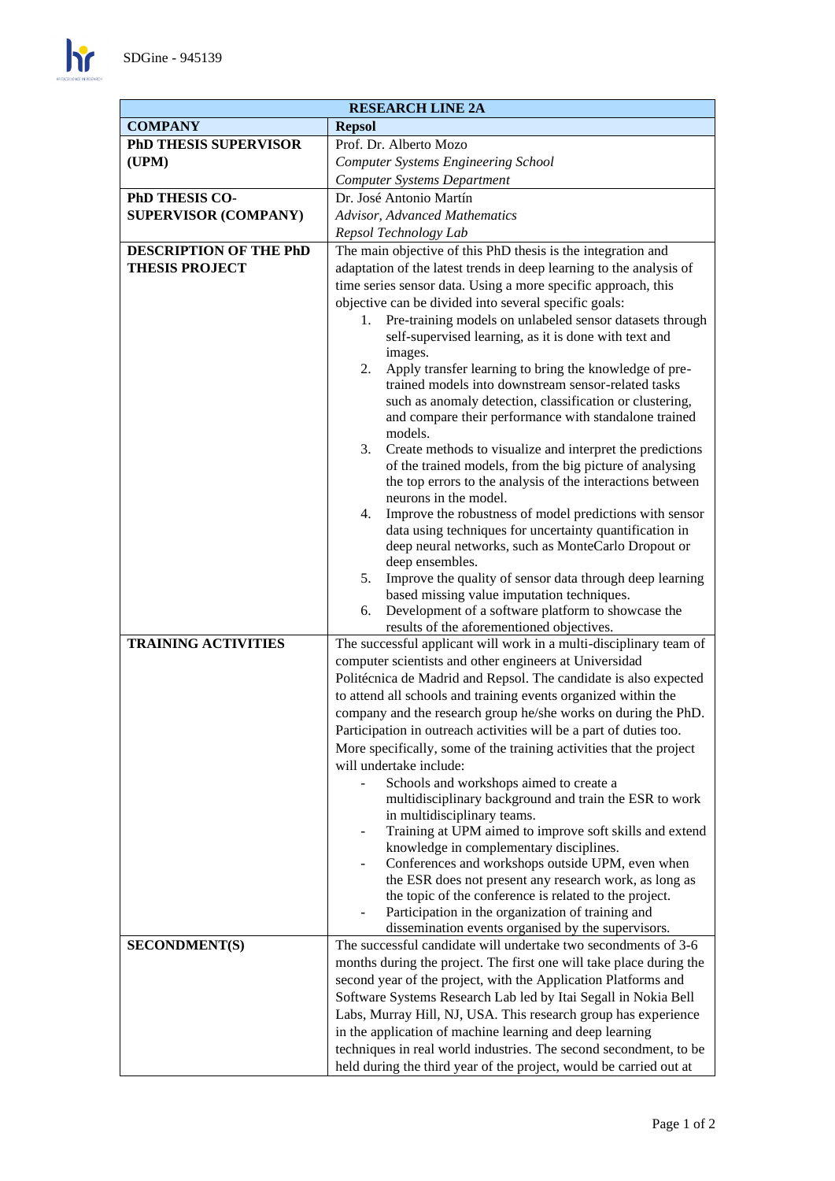$\mathbf{h}$ 

| <b>RESEARCH LINE 2A</b>       |                                                                                                                              |
|-------------------------------|------------------------------------------------------------------------------------------------------------------------------|
| <b>COMPANY</b>                | <b>Repsol</b>                                                                                                                |
| PhD THESIS SUPERVISOR         | Prof. Dr. Alberto Mozo                                                                                                       |
| (UPM)                         | <b>Computer Systems Engineering School</b>                                                                                   |
|                               | <b>Computer Systems Department</b>                                                                                           |
| PhD THESIS CO-                | Dr. José Antonio Martín                                                                                                      |
| <b>SUPERVISOR (COMPANY)</b>   | Advisor, Advanced Mathematics                                                                                                |
|                               | Repsol Technology Lab                                                                                                        |
| <b>DESCRIPTION OF THE PhD</b> | The main objective of this PhD thesis is the integration and                                                                 |
| <b>THESIS PROJECT</b>         | adaptation of the latest trends in deep learning to the analysis of                                                          |
|                               | time series sensor data. Using a more specific approach, this                                                                |
|                               | objective can be divided into several specific goals:                                                                        |
|                               | Pre-training models on unlabeled sensor datasets through<br>1.                                                               |
|                               | self-supervised learning, as it is done with text and                                                                        |
|                               | images.<br>Apply transfer learning to bring the knowledge of pre-<br>2.                                                      |
|                               | trained models into downstream sensor-related tasks                                                                          |
|                               | such as anomaly detection, classification or clustering,                                                                     |
|                               | and compare their performance with standalone trained                                                                        |
|                               | models.                                                                                                                      |
|                               | 3.<br>Create methods to visualize and interpret the predictions                                                              |
|                               | of the trained models, from the big picture of analysing                                                                     |
|                               | the top errors to the analysis of the interactions between<br>neurons in the model.                                          |
|                               | Improve the robustness of model predictions with sensor<br>4.                                                                |
|                               | data using techniques for uncertainty quantification in                                                                      |
|                               | deep neural networks, such as MonteCarlo Dropout or                                                                          |
|                               | deep ensembles.                                                                                                              |
|                               | 5.<br>Improve the quality of sensor data through deep learning                                                               |
|                               | based missing value imputation techniques.                                                                                   |
|                               | Development of a software platform to showcase the<br>6.                                                                     |
| <b>TRAINING ACTIVITIES</b>    | results of the aforementioned objectives.                                                                                    |
|                               | The successful applicant will work in a multi-disciplinary team of<br>computer scientists and other engineers at Universidad |
|                               | Politécnica de Madrid and Repsol. The candidate is also expected                                                             |
|                               | to attend all schools and training events organized within the                                                               |
|                               | company and the research group he/she works on during the PhD.                                                               |
|                               | Participation in outreach activities will be a part of duties too.                                                           |
|                               | More specifically, some of the training activities that the project                                                          |
|                               | will undertake include:                                                                                                      |
|                               | Schools and workshops aimed to create a                                                                                      |
|                               | multidisciplinary background and train the ESR to work                                                                       |
|                               | in multidisciplinary teams.                                                                                                  |
|                               | Training at UPM aimed to improve soft skills and extend                                                                      |
|                               | knowledge in complementary disciplines.<br>Conferences and workshops outside UPM, even when                                  |
|                               | the ESR does not present any research work, as long as                                                                       |
|                               | the topic of the conference is related to the project.                                                                       |
|                               | Participation in the organization of training and                                                                            |
|                               | dissemination events organised by the supervisors.                                                                           |
| <b>SECONDMENT(S)</b>          | The successful candidate will undertake two secondments of 3-6                                                               |
|                               | months during the project. The first one will take place during the                                                          |
|                               | second year of the project, with the Application Platforms and                                                               |
|                               | Software Systems Research Lab led by Itai Segall in Nokia Bell                                                               |
|                               | Labs, Murray Hill, NJ, USA. This research group has experience                                                               |
|                               | in the application of machine learning and deep learning                                                                     |
|                               | techniques in real world industries. The second secondment, to be                                                            |
|                               | held during the third year of the project, would be carried out at                                                           |